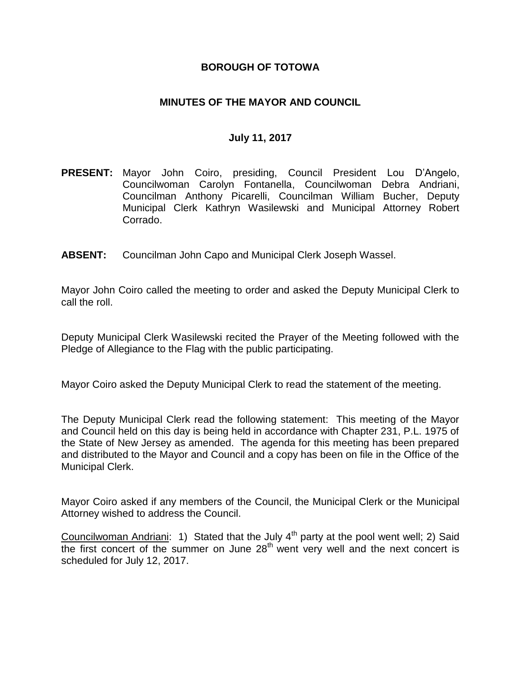### **BOROUGH OF TOTOWA**

### **MINUTES OF THE MAYOR AND COUNCIL**

#### **July 11, 2017**

- **PRESENT:** Mayor John Coiro, presiding, Council President Lou D'Angelo, Councilwoman Carolyn Fontanella, Councilwoman Debra Andriani, Councilman Anthony Picarelli, Councilman William Bucher, Deputy Municipal Clerk Kathryn Wasilewski and Municipal Attorney Robert Corrado.
- **ABSENT:** Councilman John Capo and Municipal Clerk Joseph Wassel.

Mayor John Coiro called the meeting to order and asked the Deputy Municipal Clerk to call the roll.

Deputy Municipal Clerk Wasilewski recited the Prayer of the Meeting followed with the Pledge of Allegiance to the Flag with the public participating.

Mayor Coiro asked the Deputy Municipal Clerk to read the statement of the meeting.

The Deputy Municipal Clerk read the following statement: This meeting of the Mayor and Council held on this day is being held in accordance with Chapter 231, P.L. 1975 of the State of New Jersey as amended. The agenda for this meeting has been prepared and distributed to the Mayor and Council and a copy has been on file in the Office of the Municipal Clerk.

Mayor Coiro asked if any members of the Council, the Municipal Clerk or the Municipal Attorney wished to address the Council.

Councilwoman Andriani: 1) Stated that the July  $4^{th}$  party at the pool went well; 2) Said the first concert of the summer on June  $28<sup>th</sup>$  went very well and the next concert is scheduled for July 12, 2017.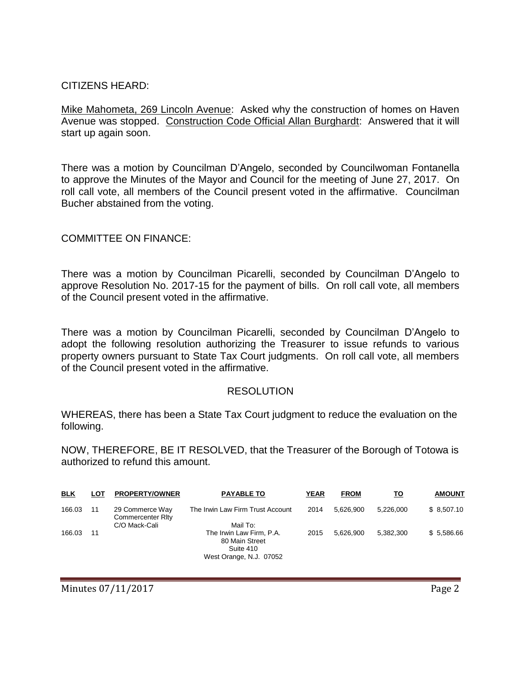### CITIZENS HEARD:

Mike Mahometa, 269 Lincoln Avenue: Asked why the construction of homes on Haven Avenue was stopped. Construction Code Official Allan Burghardt: Answered that it will start up again soon.

There was a motion by Councilman D'Angelo, seconded by Councilwoman Fontanella to approve the Minutes of the Mayor and Council for the meeting of June 27, 2017. On roll call vote, all members of the Council present voted in the affirmative. Councilman Bucher abstained from the voting.

#### COMMITTEE ON FINANCE:

There was a motion by Councilman Picarelli, seconded by Councilman D'Angelo to approve Resolution No. 2017-15 for the payment of bills. On roll call vote, all members of the Council present voted in the affirmative.

There was a motion by Councilman Picarelli, seconded by Councilman D'Angelo to adopt the following resolution authorizing the Treasurer to issue refunds to various property owners pursuant to State Tax Court judgments. On roll call vote, all members of the Council present voted in the affirmative.

#### RESOLUTION

WHEREAS, there has been a State Tax Court judgment to reduce the evaluation on the following.

NOW, THEREFORE, BE IT RESOLVED, that the Treasurer of the Borough of Totowa is authorized to refund this amount.

| <u>BLK</u> | LOT | <b>PROPERTY/OWNER</b>                       | <b>PAYABLE TO</b>                                                                              | <b>YEAR</b> | <b>FROM</b> | то        | <b>AMOUNT</b> |
|------------|-----|---------------------------------------------|------------------------------------------------------------------------------------------------|-------------|-------------|-----------|---------------|
| 166.03     | 11  | 29 Commerce Way<br><b>Commercenter Rity</b> | The Irwin Law Firm Trust Account                                                               | 2014        | 5.626.900   | 5.226.000 | \$8,507.10    |
| 166.03     | 11  | C/O Mack-Cali                               | Mail To:<br>The Irwin Law Firm, P.A.<br>80 Main Street<br>Suite 410<br>West Orange, N.J. 07052 | 2015        | 5.626.900   | 5.382.300 | \$5,586.66    |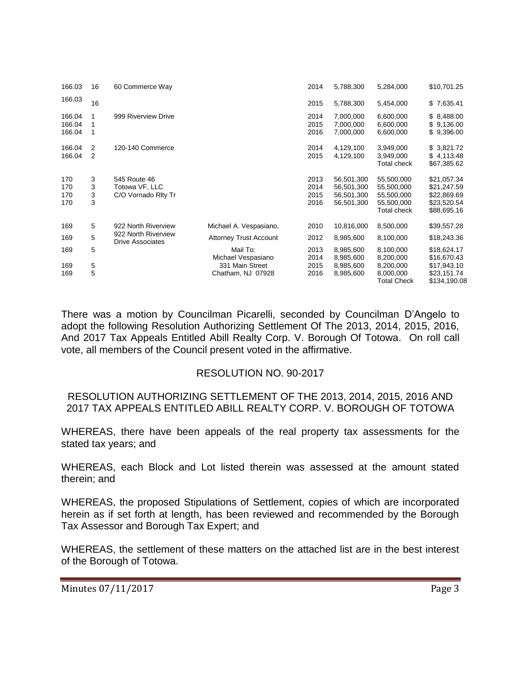| 166.03                     | 16                  | 60 Commerce Way                                                       |                                      | 2014                         | 5,788,300                                            | 5,284,000                                                           | \$10,701.25                                                             |
|----------------------------|---------------------|-----------------------------------------------------------------------|--------------------------------------|------------------------------|------------------------------------------------------|---------------------------------------------------------------------|-------------------------------------------------------------------------|
| 166.03                     | 16                  |                                                                       |                                      | 2015                         | 5,788,300                                            | 5,454,000                                                           | \$7,635.41                                                              |
| 166.04<br>166.04<br>166.04 | 1<br>1<br>1         | 999 Riverview Drive                                                   |                                      | 2014<br>2015<br>2016         | 7,000,000<br>7,000,000<br>7,000,000                  | 6,600,000<br>6,600,000<br>6,600,000                                 | \$8,488.00<br>\$9,136.00<br>\$9,396.00                                  |
| 166.04<br>166.04           | $\overline{2}$<br>2 | 120-140 Commerce                                                      |                                      | 2014<br>2015                 | 4,129,100<br>4,129,100                               | 3,949,000<br>3,949,000<br>Total check                               | \$3,821.72<br>\$4,113.48<br>\$67,385.62                                 |
| 170<br>170<br>170<br>170   | 3<br>3<br>3<br>3    | 545 Route 46<br>Totowa VF, LLC<br>C/O Vornado Rity Tr                 |                                      | 2013<br>2014<br>2015<br>2016 | 56,501,300<br>56,501,300<br>56,501,300<br>56,501,300 | 55,500,000<br>55,500,000<br>55,500,000<br>55,500,000<br>Total check | \$21,057.34<br>\$21,247.59<br>\$22,869.69<br>\$23,520.54<br>\$88,695.16 |
| 169                        | 5                   | 922 North Riverview<br>922 North Riverview<br><b>Drive Associates</b> | Michael A. Vespasiano,               | 2010                         | 10,816,000                                           | 8,500,000                                                           | \$39,557.28                                                             |
| 169                        | 5                   |                                                                       | <b>Attorney Trust Account</b>        | 2012                         | 8,985,600                                            | 8,100,000                                                           | \$18,243.36                                                             |
| 169                        | 5                   |                                                                       | Mail To:<br>Michael Vespasiano       | 2013<br>2014                 | 8,985,600<br>8,985,600                               | 8,100,000<br>8,200,000                                              | \$18,624.17<br>\$16,670.43                                              |
| 169<br>169                 | 5<br>5              |                                                                       | 331 Main Street<br>Chatham, NJ 07928 | 2015<br>2016                 | 8,985,600<br>8,985,600                               | 8,200,000<br>8,000,000<br><b>Total Check</b>                        | \$17,943.10<br>\$23,151.74<br>\$134,190.08                              |

There was a motion by Councilman Picarelli, seconded by Councilman D'Angelo to adopt the following Resolution Authorizing Settlement Of The 2013, 2014, 2015, 2016, And 2017 Tax Appeals Entitled Abill Realty Corp. V. Borough Of Totowa. On roll call vote, all members of the Council present voted in the affirmative.

#### RESOLUTION NO. 90-2017

#### RESOLUTION AUTHORIZING SETTLEMENT OF THE 2013, 2014, 2015, 2016 AND 2017 TAX APPEALS ENTITLED ABILL REALTY CORP. V. BOROUGH OF TOTOWA

WHEREAS, there have been appeals of the real property tax assessments for the stated tax years; and

WHEREAS, each Block and Lot listed therein was assessed at the amount stated therein; and

WHEREAS, the proposed Stipulations of Settlement, copies of which are incorporated herein as if set forth at length, has been reviewed and recommended by the Borough Tax Assessor and Borough Tax Expert; and

WHEREAS, the settlement of these matters on the attached list are in the best interest of the Borough of Totowa.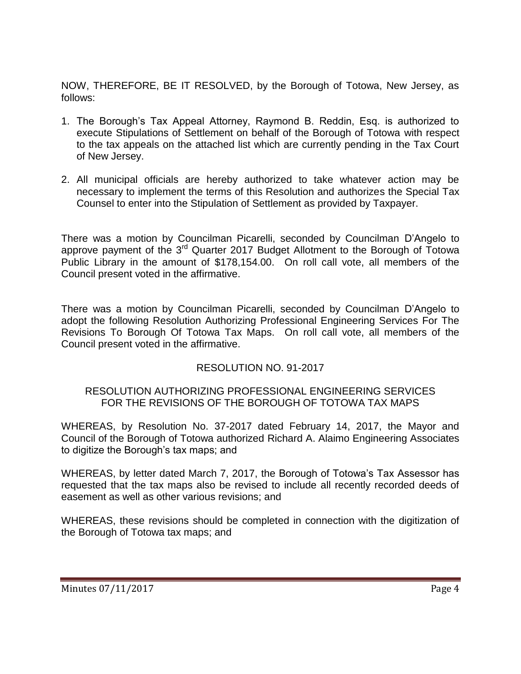NOW, THEREFORE, BE IT RESOLVED, by the Borough of Totowa, New Jersey, as follows:

- 1. The Borough's Tax Appeal Attorney, Raymond B. Reddin, Esq. is authorized to execute Stipulations of Settlement on behalf of the Borough of Totowa with respect to the tax appeals on the attached list which are currently pending in the Tax Court of New Jersey.
- 2. All municipal officials are hereby authorized to take whatever action may be necessary to implement the terms of this Resolution and authorizes the Special Tax Counsel to enter into the Stipulation of Settlement as provided by Taxpayer.

There was a motion by Councilman Picarelli, seconded by Councilman D'Angelo to approve payment of the 3<sup>rd</sup> Quarter 2017 Budget Allotment to the Borough of Totowa Public Library in the amount of \$178,154.00. On roll call vote, all members of the Council present voted in the affirmative.

There was a motion by Councilman Picarelli, seconded by Councilman D'Angelo to adopt the following Resolution Authorizing Professional Engineering Services For The Revisions To Borough Of Totowa Tax Maps. On roll call vote, all members of the Council present voted in the affirmative.

## RESOLUTION NO. 91-2017

### RESOLUTION AUTHORIZING PROFESSIONAL ENGINEERING SERVICES FOR THE REVISIONS OF THE BOROUGH OF TOTOWA TAX MAPS

WHEREAS, by Resolution No. 37-2017 dated February 14, 2017, the Mayor and Council of the Borough of Totowa authorized Richard A. Alaimo Engineering Associates to digitize the Borough's tax maps; and

WHEREAS, by letter dated March 7, 2017, the Borough of Totowa's Tax Assessor has requested that the tax maps also be revised to include all recently recorded deeds of easement as well as other various revisions; and

WHEREAS, these revisions should be completed in connection with the digitization of the Borough of Totowa tax maps; and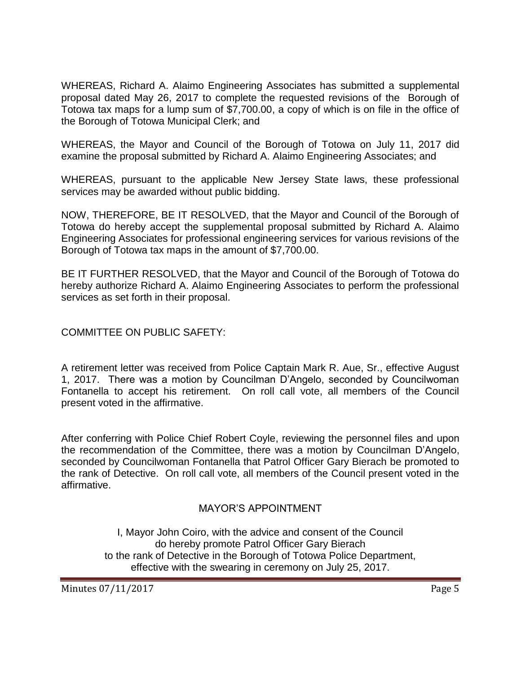WHEREAS, Richard A. Alaimo Engineering Associates has submitted a supplemental proposal dated May 26, 2017 to complete the requested revisions of the Borough of Totowa tax maps for a lump sum of \$7,700.00, a copy of which is on file in the office of the Borough of Totowa Municipal Clerk; and

WHEREAS, the Mayor and Council of the Borough of Totowa on July 11, 2017 did examine the proposal submitted by Richard A. Alaimo Engineering Associates; and

WHEREAS, pursuant to the applicable New Jersey State laws, these professional services may be awarded without public bidding.

NOW, THEREFORE, BE IT RESOLVED, that the Mayor and Council of the Borough of Totowa do hereby accept the supplemental proposal submitted by Richard A. Alaimo Engineering Associates for professional engineering services for various revisions of the Borough of Totowa tax maps in the amount of \$7,700.00.

BE IT FURTHER RESOLVED, that the Mayor and Council of the Borough of Totowa do hereby authorize Richard A. Alaimo Engineering Associates to perform the professional services as set forth in their proposal.

COMMITTEE ON PUBLIC SAFETY:

A retirement letter was received from Police Captain Mark R. Aue, Sr., effective August 1, 2017. There was a motion by Councilman D'Angelo, seconded by Councilwoman Fontanella to accept his retirement. On roll call vote, all members of the Council present voted in the affirmative.

After conferring with Police Chief Robert Coyle, reviewing the personnel files and upon the recommendation of the Committee, there was a motion by Councilman D'Angelo, seconded by Councilwoman Fontanella that Patrol Officer Gary Bierach be promoted to the rank of Detective. On roll call vote, all members of the Council present voted in the affirmative.

#### MAYOR'S APPOINTMENT

I, Mayor John Coiro, with the advice and consent of the Council do hereby promote Patrol Officer Gary Bierach to the rank of Detective in the Borough of Totowa Police Department, effective with the swearing in ceremony on July 25, 2017.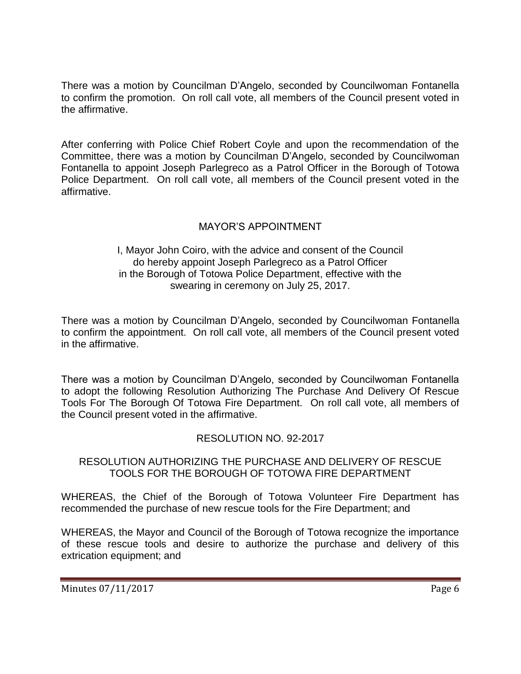There was a motion by Councilman D'Angelo, seconded by Councilwoman Fontanella to confirm the promotion. On roll call vote, all members of the Council present voted in the affirmative.

After conferring with Police Chief Robert Coyle and upon the recommendation of the Committee, there was a motion by Councilman D'Angelo, seconded by Councilwoman Fontanella to appoint Joseph Parlegreco as a Patrol Officer in the Borough of Totowa Police Department. On roll call vote, all members of the Council present voted in the affirmative.

# MAYOR'S APPOINTMENT

#### I, Mayor John Coiro, with the advice and consent of the Council do hereby appoint Joseph Parlegreco as a Patrol Officer in the Borough of Totowa Police Department, effective with the swearing in ceremony on July 25, 2017.

There was a motion by Councilman D'Angelo, seconded by Councilwoman Fontanella to confirm the appointment. On roll call vote, all members of the Council present voted in the affirmative.

There was a motion by Councilman D'Angelo, seconded by Councilwoman Fontanella to adopt the following Resolution Authorizing The Purchase And Delivery Of Rescue Tools For The Borough Of Totowa Fire Department. On roll call vote, all members of the Council present voted in the affirmative.

## RESOLUTION NO. 92-2017

#### RESOLUTION AUTHORIZING THE PURCHASE AND DELIVERY OF RESCUE TOOLS FOR THE BOROUGH OF TOTOWA FIRE DEPARTMENT

WHEREAS, the Chief of the Borough of Totowa Volunteer Fire Department has recommended the purchase of new rescue tools for the Fire Department; and

WHEREAS, the Mayor and Council of the Borough of Totowa recognize the importance of these rescue tools and desire to authorize the purchase and delivery of this extrication equipment; and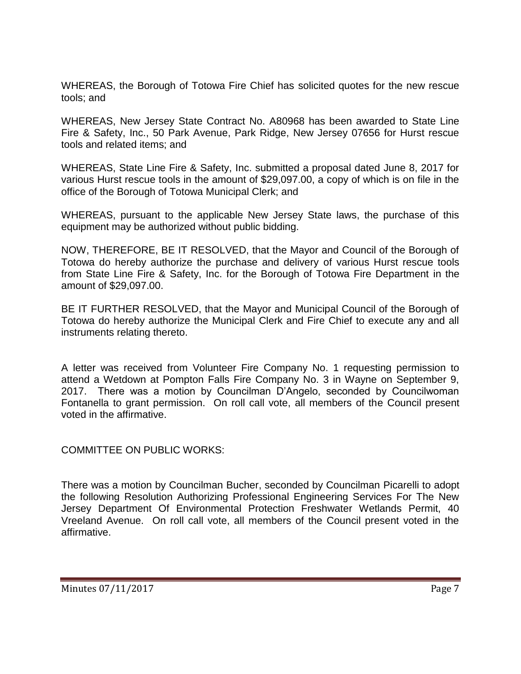WHEREAS, the Borough of Totowa Fire Chief has solicited quotes for the new rescue tools; and

WHEREAS, New Jersey State Contract No. A80968 has been awarded to State Line Fire & Safety, Inc., 50 Park Avenue, Park Ridge, New Jersey 07656 for Hurst rescue tools and related items; and

WHEREAS, State Line Fire & Safety, Inc. submitted a proposal dated June 8, 2017 for various Hurst rescue tools in the amount of \$29,097.00, a copy of which is on file in the office of the Borough of Totowa Municipal Clerk; and

WHEREAS, pursuant to the applicable New Jersey State laws, the purchase of this equipment may be authorized without public bidding.

NOW, THEREFORE, BE IT RESOLVED, that the Mayor and Council of the Borough of Totowa do hereby authorize the purchase and delivery of various Hurst rescue tools from State Line Fire & Safety, Inc. for the Borough of Totowa Fire Department in the amount of \$29,097.00.

BE IT FURTHER RESOLVED, that the Mayor and Municipal Council of the Borough of Totowa do hereby authorize the Municipal Clerk and Fire Chief to execute any and all instruments relating thereto.

A letter was received from Volunteer Fire Company No. 1 requesting permission to attend a Wetdown at Pompton Falls Fire Company No. 3 in Wayne on September 9, 2017. There was a motion by Councilman D'Angelo, seconded by Councilwoman Fontanella to grant permission. On roll call vote, all members of the Council present voted in the affirmative.

COMMITTEE ON PUBLIC WORKS:

There was a motion by Councilman Bucher, seconded by Councilman Picarelli to adopt the following Resolution Authorizing Professional Engineering Services For The New Jersey Department Of Environmental Protection Freshwater Wetlands Permit, 40 Vreeland Avenue. On roll call vote, all members of the Council present voted in the affirmative.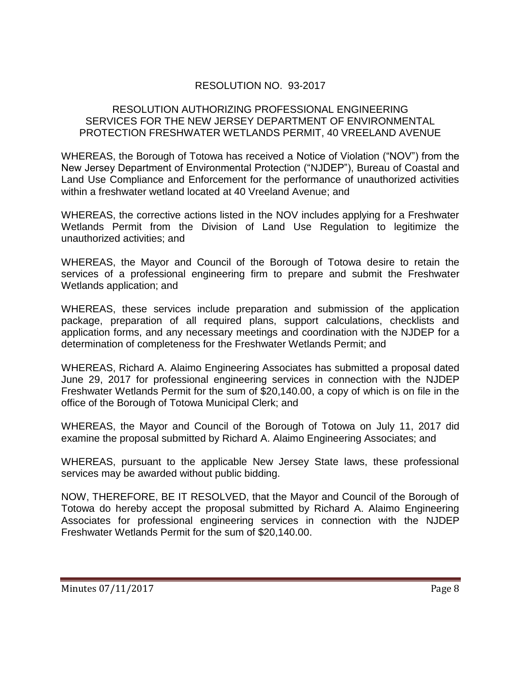# RESOLUTION NO. 93-2017

### RESOLUTION AUTHORIZING PROFESSIONAL ENGINEERING SERVICES FOR THE NEW JERSEY DEPARTMENT OF ENVIRONMENTAL PROTECTION FRESHWATER WETLANDS PERMIT, 40 VREELAND AVENUE

WHEREAS, the Borough of Totowa has received a Notice of Violation ("NOV") from the New Jersey Department of Environmental Protection ("NJDEP"), Bureau of Coastal and Land Use Compliance and Enforcement for the performance of unauthorized activities within a freshwater wetland located at 40 Vreeland Avenue; and

WHEREAS, the corrective actions listed in the NOV includes applying for a Freshwater Wetlands Permit from the Division of Land Use Regulation to legitimize the unauthorized activities; and

WHEREAS, the Mayor and Council of the Borough of Totowa desire to retain the services of a professional engineering firm to prepare and submit the Freshwater Wetlands application; and

WHEREAS, these services include preparation and submission of the application package, preparation of all required plans, support calculations, checklists and application forms, and any necessary meetings and coordination with the NJDEP for a determination of completeness for the Freshwater Wetlands Permit; and

WHEREAS, Richard A. Alaimo Engineering Associates has submitted a proposal dated June 29, 2017 for professional engineering services in connection with the NJDEP Freshwater Wetlands Permit for the sum of \$20,140.00, a copy of which is on file in the office of the Borough of Totowa Municipal Clerk; and

WHEREAS, the Mayor and Council of the Borough of Totowa on July 11, 2017 did examine the proposal submitted by Richard A. Alaimo Engineering Associates; and

WHEREAS, pursuant to the applicable New Jersey State laws, these professional services may be awarded without public bidding.

NOW, THEREFORE, BE IT RESOLVED, that the Mayor and Council of the Borough of Totowa do hereby accept the proposal submitted by Richard A. Alaimo Engineering Associates for professional engineering services in connection with the NJDEP Freshwater Wetlands Permit for the sum of \$20,140.00.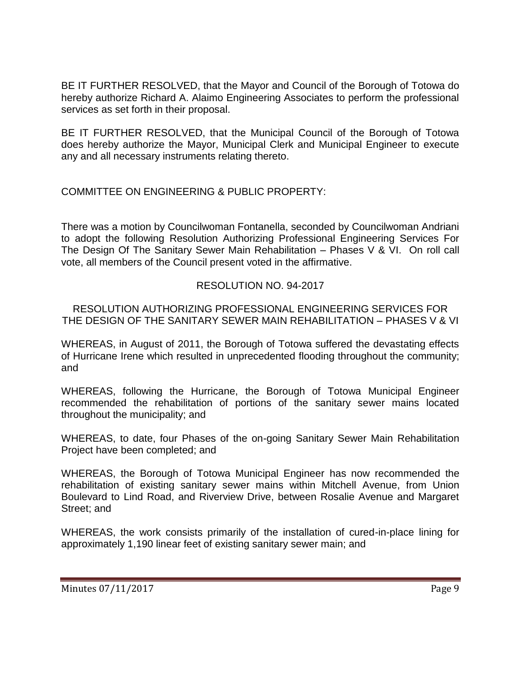BE IT FURTHER RESOLVED, that the Mayor and Council of the Borough of Totowa do hereby authorize Richard A. Alaimo Engineering Associates to perform the professional services as set forth in their proposal.

BE IT FURTHER RESOLVED, that the Municipal Council of the Borough of Totowa does hereby authorize the Mayor, Municipal Clerk and Municipal Engineer to execute any and all necessary instruments relating thereto.

COMMITTEE ON ENGINEERING & PUBLIC PROPERTY:

There was a motion by Councilwoman Fontanella, seconded by Councilwoman Andriani to adopt the following Resolution Authorizing Professional Engineering Services For The Design Of The Sanitary Sewer Main Rehabilitation – Phases V & VI. On roll call vote, all members of the Council present voted in the affirmative.

# RESOLUTION NO. 94-2017

RESOLUTION AUTHORIZING PROFESSIONAL ENGINEERING SERVICES FOR THE DESIGN OF THE SANITARY SEWER MAIN REHABILITATION – PHASES V & VI

WHEREAS, in August of 2011, the Borough of Totowa suffered the devastating effects of Hurricane Irene which resulted in unprecedented flooding throughout the community; and

WHEREAS, following the Hurricane, the Borough of Totowa Municipal Engineer recommended the rehabilitation of portions of the sanitary sewer mains located throughout the municipality; and

WHEREAS, to date, four Phases of the on-going Sanitary Sewer Main Rehabilitation Project have been completed; and

WHEREAS, the Borough of Totowa Municipal Engineer has now recommended the rehabilitation of existing sanitary sewer mains within Mitchell Avenue, from Union Boulevard to Lind Road, and Riverview Drive, between Rosalie Avenue and Margaret Street; and

WHEREAS, the work consists primarily of the installation of cured-in-place lining for approximately 1,190 linear feet of existing sanitary sewer main; and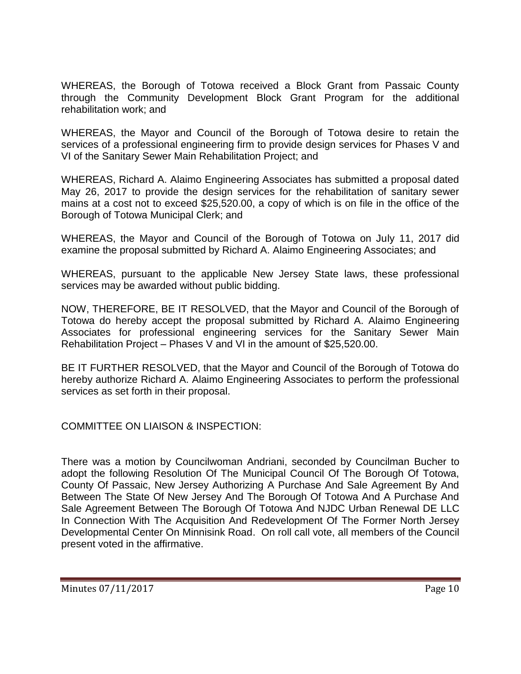WHEREAS, the Borough of Totowa received a Block Grant from Passaic County through the Community Development Block Grant Program for the additional rehabilitation work; and

WHEREAS, the Mayor and Council of the Borough of Totowa desire to retain the services of a professional engineering firm to provide design services for Phases V and VI of the Sanitary Sewer Main Rehabilitation Project; and

WHEREAS, Richard A. Alaimo Engineering Associates has submitted a proposal dated May 26, 2017 to provide the design services for the rehabilitation of sanitary sewer mains at a cost not to exceed \$25,520.00, a copy of which is on file in the office of the Borough of Totowa Municipal Clerk; and

WHEREAS, the Mayor and Council of the Borough of Totowa on July 11, 2017 did examine the proposal submitted by Richard A. Alaimo Engineering Associates; and

WHEREAS, pursuant to the applicable New Jersey State laws, these professional services may be awarded without public bidding.

NOW, THEREFORE, BE IT RESOLVED, that the Mayor and Council of the Borough of Totowa do hereby accept the proposal submitted by Richard A. Alaimo Engineering Associates for professional engineering services for the Sanitary Sewer Main Rehabilitation Project – Phases V and VI in the amount of \$25,520.00.

BE IT FURTHER RESOLVED, that the Mayor and Council of the Borough of Totowa do hereby authorize Richard A. Alaimo Engineering Associates to perform the professional services as set forth in their proposal.

COMMITTEE ON LIAISON & INSPECTION:

There was a motion by Councilwoman Andriani, seconded by Councilman Bucher to adopt the following Resolution Of The Municipal Council Of The Borough Of Totowa, County Of Passaic, New Jersey Authorizing A Purchase And Sale Agreement By And Between The State Of New Jersey And The Borough Of Totowa And A Purchase And Sale Agreement Between The Borough Of Totowa And NJDC Urban Renewal DE LLC In Connection With The Acquisition And Redevelopment Of The Former North Jersey Developmental Center On Minnisink Road. On roll call vote, all members of the Council present voted in the affirmative.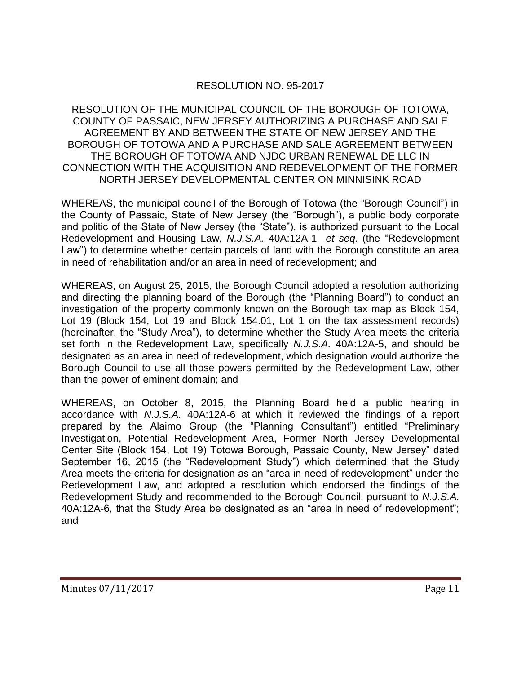# RESOLUTION NO. 95-2017

### RESOLUTION OF THE MUNICIPAL COUNCIL OF THE BOROUGH OF TOTOWA, COUNTY OF PASSAIC, NEW JERSEY AUTHORIZING A PURCHASE AND SALE AGREEMENT BY AND BETWEEN THE STATE OF NEW JERSEY AND THE BOROUGH OF TOTOWA AND A PURCHASE AND SALE AGREEMENT BETWEEN THE BOROUGH OF TOTOWA AND NJDC URBAN RENEWAL DE LLC IN CONNECTION WITH THE ACQUISITION AND REDEVELOPMENT OF THE FORMER NORTH JERSEY DEVELOPMENTAL CENTER ON MINNISINK ROAD

WHEREAS, the municipal council of the Borough of Totowa (the "Borough Council") in the County of Passaic, State of New Jersey (the "Borough"), a public body corporate and politic of the State of New Jersey (the "State"), is authorized pursuant to the Local Redevelopment and Housing Law, *N.J.S.A.* 40A:12A-1 *et seq.* (the "Redevelopment Law") to determine whether certain parcels of land with the Borough constitute an area in need of rehabilitation and/or an area in need of redevelopment; and

WHEREAS, on August 25, 2015, the Borough Council adopted a resolution authorizing and directing the planning board of the Borough (the "Planning Board") to conduct an investigation of the property commonly known on the Borough tax map as Block 154, Lot 19 (Block 154, Lot 19 and Block 154.01, Lot 1 on the tax assessment records) (hereinafter, the "Study Area"), to determine whether the Study Area meets the criteria set forth in the Redevelopment Law, specifically *N.J.S.A.* 40A:12A-5, and should be designated as an area in need of redevelopment, which designation would authorize the Borough Council to use all those powers permitted by the Redevelopment Law, other than the power of eminent domain; and

WHEREAS, on October 8, 2015, the Planning Board held a public hearing in accordance with *N.J.S.A.* 40A:12A-6 at which it reviewed the findings of a report prepared by the Alaimo Group (the "Planning Consultant") entitled "Preliminary Investigation, Potential Redevelopment Area, Former North Jersey Developmental Center Site (Block 154, Lot 19) Totowa Borough, Passaic County, New Jersey" dated September 16, 2015 (the "Redevelopment Study") which determined that the Study Area meets the criteria for designation as an "area in need of redevelopment" under the Redevelopment Law, and adopted a resolution which endorsed the findings of the Redevelopment Study and recommended to the Borough Council, pursuant to *N.J.S.A.* 40A:12A-6, that the Study Area be designated as an "area in need of redevelopment"; and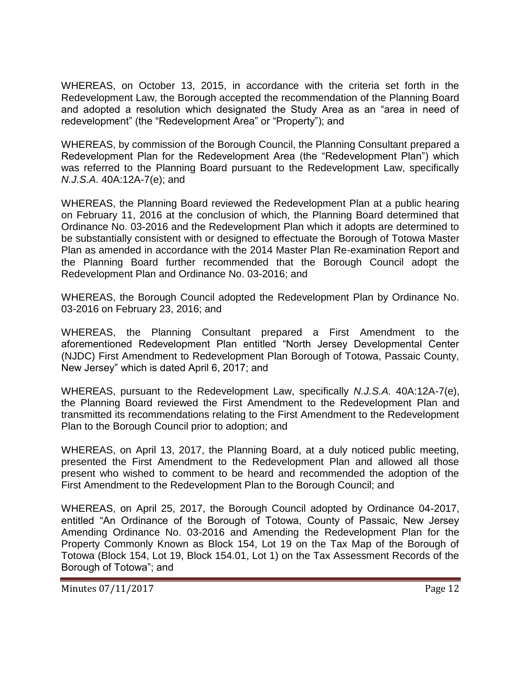WHEREAS, on October 13, 2015, in accordance with the criteria set forth in the Redevelopment Law, the Borough accepted the recommendation of the Planning Board and adopted a resolution which designated the Study Area as an "area in need of redevelopment" (the "Redevelopment Area" or "Property"); and

WHEREAS, by commission of the Borough Council, the Planning Consultant prepared a Redevelopment Plan for the Redevelopment Area (the "Redevelopment Plan") which was referred to the Planning Board pursuant to the Redevelopment Law, specifically *N.J.S.A.* 40A:12A-7(e); and

WHEREAS, the Planning Board reviewed the Redevelopment Plan at a public hearing on February 11, 2016 at the conclusion of which, the Planning Board determined that Ordinance No. 03-2016 and the Redevelopment Plan which it adopts are determined to be substantially consistent with or designed to effectuate the Borough of Totowa Master Plan as amended in accordance with the 2014 Master Plan Re-examination Report and the Planning Board further recommended that the Borough Council adopt the Redevelopment Plan and Ordinance No. 03-2016; and

WHEREAS, the Borough Council adopted the Redevelopment Plan by Ordinance No. 03-2016 on February 23, 2016; and

WHEREAS, the Planning Consultant prepared a First Amendment to the aforementioned Redevelopment Plan entitled "North Jersey Developmental Center (NJDC) First Amendment to Redevelopment Plan Borough of Totowa, Passaic County, New Jersey" which is dated April 6, 2017; and

WHEREAS, pursuant to the Redevelopment Law, specifically *N.J.S.A.* 40A:12A-7(e), the Planning Board reviewed the First Amendment to the Redevelopment Plan and transmitted its recommendations relating to the First Amendment to the Redevelopment Plan to the Borough Council prior to adoption; and

WHEREAS, on April 13, 2017, the Planning Board, at a duly noticed public meeting, presented the First Amendment to the Redevelopment Plan and allowed all those present who wished to comment to be heard and recommended the adoption of the First Amendment to the Redevelopment Plan to the Borough Council; and

WHEREAS, on April 25, 2017, the Borough Council adopted by Ordinance 04-2017, entitled "An Ordinance of the Borough of Totowa, County of Passaic, New Jersey Amending Ordinance No. 03-2016 and Amending the Redevelopment Plan for the Property Commonly Known as Block 154, Lot 19 on the Tax Map of the Borough of Totowa (Block 154, Lot 19, Block 154.01, Lot 1) on the Tax Assessment Records of the Borough of Totowa"; and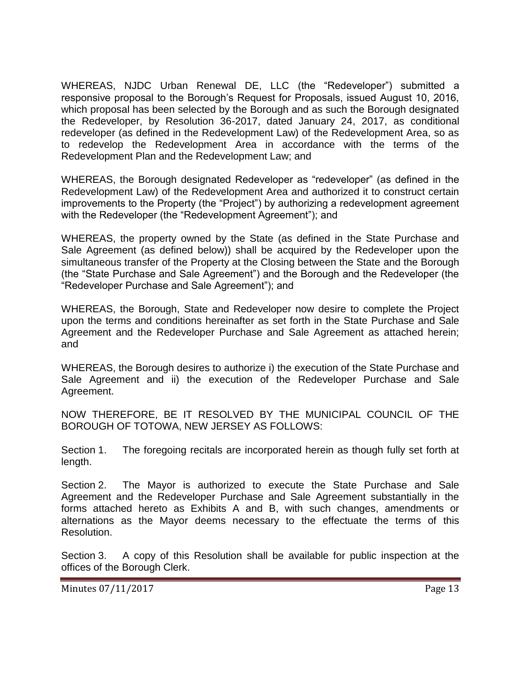WHEREAS, NJDC Urban Renewal DE, LLC (the "Redeveloper") submitted a responsive proposal to the Borough's Request for Proposals, issued August 10, 2016, which proposal has been selected by the Borough and as such the Borough designated the Redeveloper, by Resolution 36-2017, dated January 24, 2017, as conditional redeveloper (as defined in the Redevelopment Law) of the Redevelopment Area, so as to redevelop the Redevelopment Area in accordance with the terms of the Redevelopment Plan and the Redevelopment Law; and

WHEREAS, the Borough designated Redeveloper as "redeveloper" (as defined in the Redevelopment Law) of the Redevelopment Area and authorized it to construct certain improvements to the Property (the "Project") by authorizing a redevelopment agreement with the Redeveloper (the "Redevelopment Agreement"); and

WHEREAS, the property owned by the State (as defined in the State Purchase and Sale Agreement (as defined below)) shall be acquired by the Redeveloper upon the simultaneous transfer of the Property at the Closing between the State and the Borough (the "State Purchase and Sale Agreement") and the Borough and the Redeveloper (the "Redeveloper Purchase and Sale Agreement"); and

WHEREAS, the Borough, State and Redeveloper now desire to complete the Project upon the terms and conditions hereinafter as set forth in the State Purchase and Sale Agreement and the Redeveloper Purchase and Sale Agreement as attached herein; and

WHEREAS, the Borough desires to authorize i) the execution of the State Purchase and Sale Agreement and ii) the execution of the Redeveloper Purchase and Sale Agreement.

NOW THEREFORE, BE IT RESOLVED BY THE MUNICIPAL COUNCIL OF THE BOROUGH OF TOTOWA, NEW JERSEY AS FOLLOWS:

Section 1. The foregoing recitals are incorporated herein as though fully set forth at length.

Section 2. The Mayor is authorized to execute the State Purchase and Sale Agreement and the Redeveloper Purchase and Sale Agreement substantially in the forms attached hereto as Exhibits A and B, with such changes, amendments or alternations as the Mayor deems necessary to the effectuate the terms of this Resolution.

Section 3. A copy of this Resolution shall be available for public inspection at the offices of the Borough Clerk.

Minutes 07/11/2017 **Page 13**